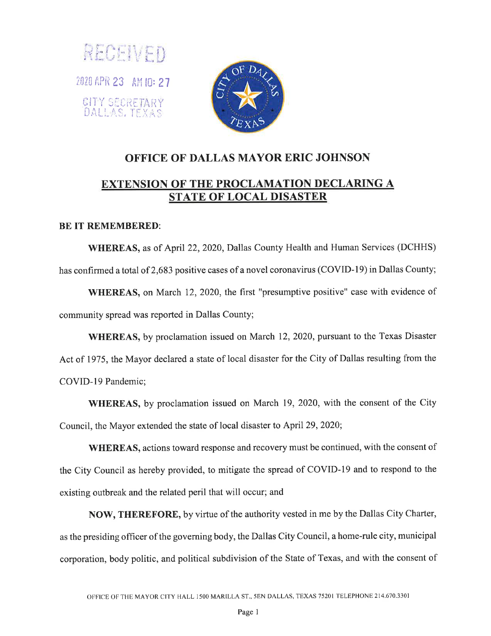



## OFFICE OF DALLAS MAYOR ERIC JOHNSON EXTENSION OF THE PROCLAMATION DECLARING A STATE OF LOCAL DISASTER

## BE IT REMEMBERED:

WHEREAS, as of April 22, 2020, Dallas County Health and Human Services (DCHHS) has confirmed a total of 2,683 positive cases of a novel coronavirus (COVID-l9) in Dallas County;

WHEREAS, on March 12, 2020, the first "presumptive positive" case with evidence of community spread was reported in Dallas County;

WHEREAS, by proclamation issued on March 12, 2020, pursuant to the Texas Disaster Act of 1975, the Mayor declared a state of local disaster for the City of Dallas resulting from the COVID-19 Pandemic;

WHEREAS, by proclamation issued on March 19, 2020, with the consent of the City Council, the Mayor extended the state of local disaster to April 29,2020;

WHEREAS, actions toward response and recovery must be continued, with the consent of the City Council as hereby provided, to mitigate the spread of COVID-l9 and to respond to the existing outbreak and the related peril that will occur; and

NOW, THEREFORE, by virtue of the authority vested in me by the Dallas City Charter, as the presiding officer of the governing body, the Dallas City Council, a home-rule city, municipal corporation, body politic, and political subdivision of the State of Texas, and with the consent of